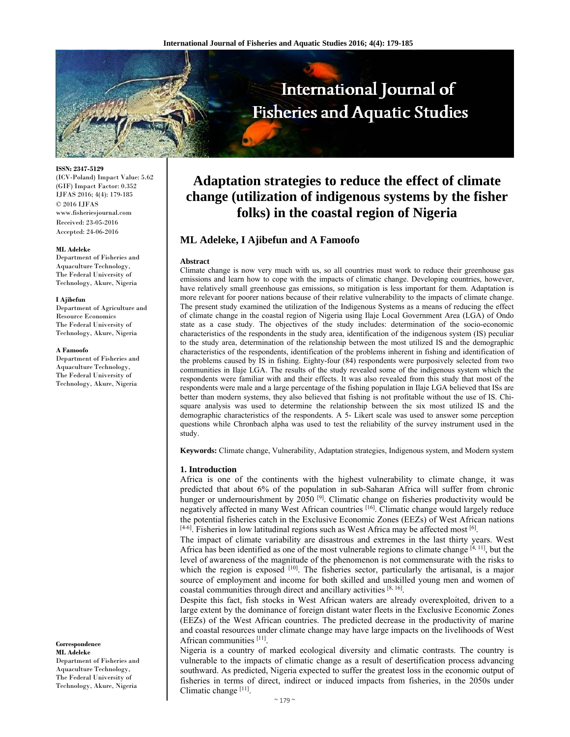

**ISSN: 2347-5129** 

(ICV-Poland) Impact Value: 5.62 (GIF) Impact Factor: 0.352 IJFAS 2016; 4(4): 179-185 © 2016 IJFAS www.fisheriesjournal.com Received: 23-05-2016 Accepted: 24-06-2016

#### **ML Adeleke**

Department of Fisheries and Aquaculture Technology, The Federal University of Technology, Akure, Nigeria

#### **I Ajibefun**

Department of Agriculture and Resource Economics The Federal University of Technology, Akure, Nigeria

#### **A Famoofo**

Department of Fisheries and Aquaculture Technology, The Federal University of Technology, Akure, Nigeria

**Correspondence** 

**ML Adeleke**  Department of Fisheries and Aquaculture Technology, The Federal University of Technology, Akure, Nigeria

# **Adaptation strategies to reduce the effect of climate change (utilization of indigenous systems by the fisher folks) in the coastal region of Nigeria**

# **ML Adeleke, I Ajibefun and A Famoofo**

#### **Abstract**

Climate change is now very much with us, so all countries must work to reduce their greenhouse gas emissions and learn how to cope with the impacts of climatic change. Developing countries, however, have relatively small greenhouse gas emissions, so mitigation is less important for them. Adaptation is more relevant for poorer nations because of their relative vulnerability to the impacts of climate change. The present study examined the utilization of the Indigenous Systems as a means of reducing the effect of climate change in the coastal region of Nigeria using Ilaje Local Government Area (LGA) of Ondo state as a case study. The objectives of the study includes: determination of the socio-economic characteristics of the respondents in the study area, identification of the indigenous system (IS) peculiar to the study area, determination of the relationship between the most utilized IS and the demographic characteristics of the respondents, identification of the problems inherent in fishing and identification of the problems caused by IS in fishing. Eighty-four (84) respondents were purposively selected from two communities in Ilaje LGA. The results of the study revealed some of the indigenous system which the respondents were familiar with and their effects. It was also revealed from this study that most of the respondents were male and a large percentage of the fishing population in Ilaje LGA believed that ISs are better than modern systems, they also believed that fishing is not profitable without the use of IS. Chisquare analysis was used to determine the relationship between the six most utilized IS and the demographic characteristics of the respondents. A 5- Likert scale was used to answer some perception questions while Chronbach alpha was used to test the reliability of the survey instrument used in the study.

**Keywords:** Climate change, Vulnerability, Adaptation strategies, Indigenous system, and Modern system

#### **1. Introduction**

Africa is one of the continents with the highest vulnerability to climate change, it was predicted that about 6% of the population in sub-Saharan Africa will suffer from chronic hunger or undernourishment by 2050<sup>[9]</sup>. Climatic change on fisheries productivity would be negatively affected in many West African countries [16]. Climatic change would largely reduce the potential fisheries catch in the Exclusive Economic Zones (EEZs) of West African nations  $[4-6]$ . Fisheries in low latitudinal regions such as West Africa may be affected most  $[6]$ .

The impact of climate variability are disastrous and extremes in the last thirty years. West Africa has been identified as one of the most vulnerable regions to climate change [4, 11], but the level of awareness of the magnitude of the phenomenon is not commensurate with the risks to which the region is exposed [10]. The fisheries sector, particularly the artisanal, is a major source of employment and income for both skilled and unskilled young men and women of coastal communities through direct and ancillary activities [8, 16].

Despite this fact, fish stocks in West African waters are already overexploited, driven to a large extent by the dominance of foreign distant water fleets in the Exclusive Economic Zones (EEZs) of the West African countries. The predicted decrease in the productivity of marine and coastal resources under climate change may have large impacts on the livelihoods of West African communities [11].

Nigeria is a country of marked ecological diversity and climatic contrasts. The country is vulnerable to the impacts of climatic change as a result of desertification process advancing southward. As predicted, Nigeria expected to suffer the greatest loss in the economic output of fisheries in terms of direct, indirect or induced impacts from fisheries, in the 2050s under Climatic change [11].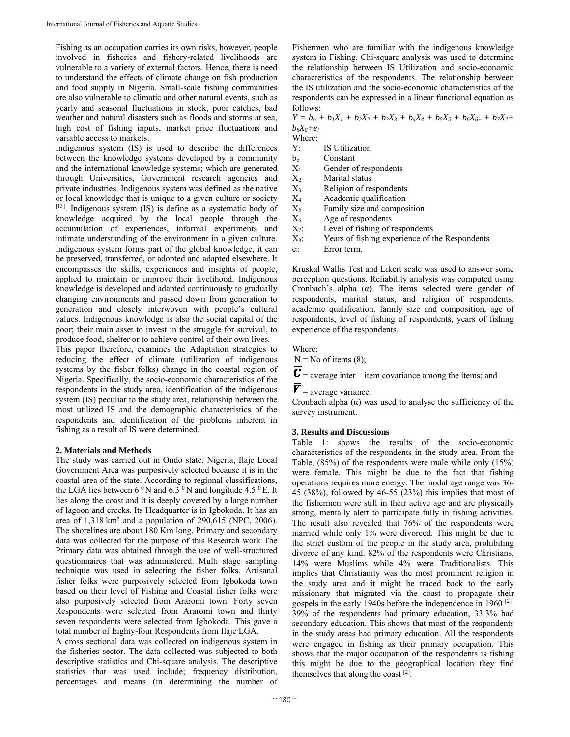Fishing as an occupation carries its own risks, however, people involved in fisheries and fishery-related livelihoods are vulnerable to a variety of external factors. Hence, there is need to understand the effects of climate change on fish production and food supply in Nigeria. Small-scale fishing communities are also vulnerable to climatic and other natural events, such as yearly and seasonal fluctuations in stock, poor catches, bad weather and natural disasters such as floods and storms at sea, high cost of fishing inputs, market price fluctuations and variable access to markets.

Indigenous system (IS) is used to describe the differences between the knowledge systems developed by a community and the international knowledge systems; which are generated through Universities, Government research agencies and private industries. Indigenous system was defined as the native or local knowledge that is unique to a given culture or society [13]. Indigenous system (IS) is define as a systematic body of knowledge acquired by the local people through the accumulation of experiences, informal experiments and intimate understanding of the environment in a given culture. Indigenous system forms part of the global knowledge, it can be preserved, transferred, or adopted and adapted elsewhere. It encompasses the skills, experiences and insights of people, applied to maintain or improve their livelihood. Indigenous knowledge is developed and adapted continuously to gradually changing environments and passed down from generation to generation and closely interwoven with people's cultural values. Indigenous knowledge is also the social capital of the poor; their main asset to invest in the struggle for survival, to produce food, shelter or to achieve control of their own lives.

This paper therefore, examines the Adaptation strategies to reducing the effect of climate (utilization of indigenous systems by the fisher folks) change in the coastal region of Nigeria. Specifically, the socio-economic characteristics of the respondents in the study area, identification of the indigenous system (IS) peculiar to the study area, relationship between the most utilized IS and the demographic characteristics of the respondents and identification of the problems inherent in fishing as a result of IS were determined.

## **2. Materials and Methods**

The study was carried out in Ondo state, Nigeria, Ilaje Local Government Area was purposively selected because it is in the coastal area of the state. According to regional classifications, the LGA lies between 6  $\rm ^0N$  and 6.3  $\rm ^0N$  and longitude 4.5  $\rm ^0E$ . It lies along the coast and it is deeply covered by a large number of lagoon and creeks. Its Headquarter is in Igbokoda. It has an area of 1,318 km² and a population of 290,615 (NPC, 2006). The shorelines are about 180 Km long. Primary and secondary data was collected for the purpose of this Research work The Primary data was obtained through the use of well-structured questionnaires that was administered. Multi stage sampling technique was used in selecting the fisher folks. Artisanal fisher folks were purposively selected from Igbokoda town based on their level of Fishing and Coastal fisher folks were also purposively selected from Araromi town. Forty seven Respondents were selected from Araromi town and thirty seven respondents were selected from Igbokoda. This gave a total number of Eighty-four Respondents from Ilaje LGA.

A cross sectional data was collected on indigenous system in the fisheries sector. The data collected was subjected to both descriptive statistics and Chi-square analysis. The descriptive statistics that was used include; frequency distribution, percentages and means (in determining the number of

Fishermen who are familiar with the indigenous knowledge system in Fishing. Chi-square analysis was used to determine the relationship between IS Utilization and socio-economic characteristics of the respondents. The relationship between the IS utilization and the socio-economic characteristics of the respondents can be expressed in a linear functional equation as follows:

 $Y = b_o + b_1X_1 + b_2X_2 + b_3X_3 + b_4X_4 + b_5X_5 + b_6X_6 + b_7X_7 + b_8X_7 + b_9X_7 + b_1X_7 + b_2X_8$ *b8X8+ei*

Where; Y: IS Utilization

- b<sub>o</sub> Constant
- X1: Gender of respondents
- $X_2$  Marital status
- $X_3$  Religion of respondents
- X4 Academic qualification
- $X<sub>5</sub>$  Family size and composition
- $X_6$  Age of respondents
- $X_7$ : Level of fishing of respondents
- $X_8$ : Years of fishing experience of the Respondents
- ei: Error term.

Kruskal Wallis Test and Likert scale was used to answer some perception questions. Reliability analysis was computed using Cronbach's alpha  $(\alpha)$ . The items selected were gender of respondents, marital status, and religion of respondents, academic qualification, family size and composition, age of respondents, level of fishing of respondents, years of fishing experience of the respondents.

Where:

 $N = No$  of items (8);

 $\overline{\mathbf{C}}$  = average inter – item covariance among the items; and

 $\boldsymbol{\overline{V}}$  = average variance.

Cronbach alpha  $(\alpha)$  was used to analyse the sufficiency of the survey instrument.

## **3. Results and Discussions**

Table 1: shows the results of the socio-economic characteristics of the respondents in the study area. From the Table, (85%) of the respondents were male while only (15%) were female. This might be due to the fact that fishing operations requires more energy. The modal age range was 36- 45 (38%), followed by 46-55 (23%) this implies that most of the fishermen were still in their active age and are physically strong, mentally alert to participate fully in fishing activities. The result also revealed that 76% of the respondents were married while only 1% were divorced. This might be due to the strict custom of the people in the study area, prohibiting divorce of any kind. 82% of the respondents were Christians, 14% were Muslims while 4% were Traditionalists. This implies that Christianity was the most prominent religion in the study area and it might be traced back to the early missionary that migrated via the coast to propagate their gospels in the early 1940s before the independence in 1960 <sup>[2]</sup>. 39% of the respondents had primary education, 33.3% had secondary education. This shows that most of the respondents in the study areas had primary education. All the respondents were engaged in fishing as their primary occupation. This shows that the major occupation of the respondents is fishing this might be due to the geographical location they find themselves that along the coast  $[2]$ .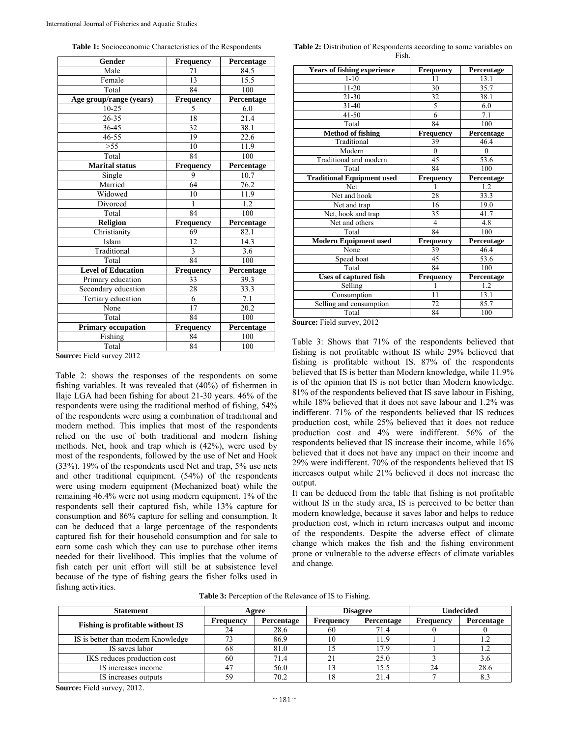**Table 1:** Socioeconomic Characteristics of the Respondents

| Gender                    | <b>Frequency</b> | Percentage |
|---------------------------|------------------|------------|
| Male                      | 71               | 84.5       |
| Female                    | 13               | 15.5       |
| Total                     | 84               | 100        |
| Age group/range (years)   | Frequency        | Percentage |
| $10 - 25$                 | 5                | 6.0        |
| 26-35                     | 18               | 21.4       |
| 36-45                     | 32               | 38.1       |
| 46-55                     | 19               | 22.6       |
| > 55                      | 10               | 11.9       |
| Total                     | 84               | 100        |
| <b>Marital status</b>     | Frequency        | Percentage |
| Single                    | 9                | 10.7       |
| Married                   | 64               | 76.2       |
| Widowed                   | 10               | 11.9       |
| Divorced                  | 1                | 1.2        |
| Total                     | 84               | 100        |
| Religion                  | Frequency        | Percentage |
| Christianity              | 69               | 82.1       |
| Islam                     | 12               | 14.3       |
| Traditional               | 3                | 3.6        |
| Total                     | 84               | 100        |
| <b>Level of Education</b> | <b>Frequency</b> | Percentage |
| Primary education         | 33               | 39.3       |
| Secondary education       | 28               | 33.3       |
| Tertiary education        | 6                | 7.1        |
| None                      | 17               | 20.2       |
| Total                     | 84               | 100        |
| <b>Primary occupation</b> | <b>Frequency</b> | Percentage |
| Fishing                   | 84               | 100        |
| Total                     | 84               | 100        |

**Source:** Field survey 2012

Table 2: shows the responses of the respondents on some fishing variables. It was revealed that (40%) of fishermen in Ilaje LGA had been fishing for about 21-30 years. 46% of the respondents were using the traditional method of fishing, 54% of the respondents were using a combination of traditional and modern method. This implies that most of the respondents relied on the use of both traditional and modern fishing methods. Net, hook and trap which is (42%), were used by most of the respondents, followed by the use of Net and Hook (33%). 19% of the respondents used Net and trap, 5% use nets and other traditional equipment. (54%) of the respondents were using modern equipment (Mechanized boat) while the remaining 46.4% were not using modern equipment. 1% of the respondents sell their captured fish, while 13% capture for consumption and 86% capture for selling and consumption. It can be deduced that a large percentage of the respondents captured fish for their household consumption and for sale to earn some cash which they can use to purchase other items needed for their livelihood. This implies that the volume of fish catch per unit effort will still be at subsistence level because of the type of fishing gears the fisher folks used in fishing activities.

| Table 2: Distribution of Respondents according to some variables on |
|---------------------------------------------------------------------|
| Fish.                                                               |

| Years of fishing experience       | <b>Frequency</b> | Percentage |
|-----------------------------------|------------------|------------|
| $1 - 10$                          | 11               | 13.1       |
| 11-20                             | 30               | 35.7       |
| 21-30                             | 32               | 38.1       |
| $31 - 40$                         | 5                | 6.0        |
| $41 - 50$                         | 6                | 7.1        |
| Total                             | 84               | 100        |
| <b>Method of fishing</b>          | <b>Frequency</b> | Percentage |
| Traditional                       | 39               | 46.4       |
| Modern                            | $\theta$         | $\theta$   |
| Traditional and modern            | 45               | 53.6       |
| Total                             | 84               | 100        |
| <b>Traditional Equipment used</b> | Frequency        | Percentage |
| Net                               |                  | 1.2        |
| Net and hook                      | 28               | 33.3       |
| Net and trap                      | 16               | 19.0       |
| Net, hook and trap                | 35               | 41.7       |
| Net and others                    | 4                | 4.8        |
| Total                             | 84               | 100        |
| <b>Modern Equipment used</b>      | <b>Frequency</b> | Percentage |
| None                              | 39               | 46.4       |
| Speed boat                        | 45               | 53.6       |
| Total                             | 84               | 100        |
| <b>Uses of captured fish</b>      | <b>Frequency</b> | Percentage |
| Selling                           |                  | 1.2        |
| Consumption                       | 11               | 13.1       |
| Selling and consumption           | 72               | 85.7       |
| Total<br>$-1$<br>$\sim$ $\sim$    | 84               | 100        |

**Source:** Field survey, 2012

Table 3: Shows that 71% of the respondents believed that fishing is not profitable without IS while 29% believed that fishing is profitable without IS. 87% of the respondents believed that IS is better than Modern knowledge, while 11.9% is of the opinion that IS is not better than Modern knowledge. 81% of the respondents believed that IS save labour in Fishing, while 18% believed that it does not save labour and 1.2% was indifferent. 71% of the respondents believed that IS reduces production cost, while 25% believed that it does not reduce production cost and 4% were indifferent. 56% of the respondents believed that IS increase their income, while 16% believed that it does not have any impact on their income and 29% were indifferent. 70% of the respondents believed that IS increases output while 21% believed it does not increase the output.

It can be deduced from the table that fishing is not profitable without IS in the study area, IS is perceived to be better than modern knowledge, because it saves labor and helps to reduce production cost, which in return increases output and income of the respondents. Despite the adverse effect of climate change which makes the fish and the fishing environment prone or vulnerable to the adverse effects of climate variables and change.

**Table 3:** Perception of the Relevance of IS to Fishing.

| <b>Statement</b>                        | <b>Disagree</b><br>Agree |            | Undecided |            |           |            |
|-----------------------------------------|--------------------------|------------|-----------|------------|-----------|------------|
|                                         | Frequency                | Percentage | Frequency | Percentage | Frequency | Percentage |
| <b>Fishing is profitable without IS</b> | 24                       | 28.6       | 60        | 71.4       |           |            |
| IS is better than modern Knowledge      | 73                       | 86.9       |           | 11.9       |           |            |
| IS saves labor                          | 68                       | 81.0       |           | 17.9       |           |            |
| IKS reduces production cost             | 60                       | 71.4       |           | 25.0       |           | 3.6        |
| IS increases income                     | 47                       | 56.0       |           | 15.5       | 24        | 28.6       |
| IS increases outputs                    | 59                       | 70.2       |           | 21.4       |           | 8.3        |

**Source:** Field survey, 2012.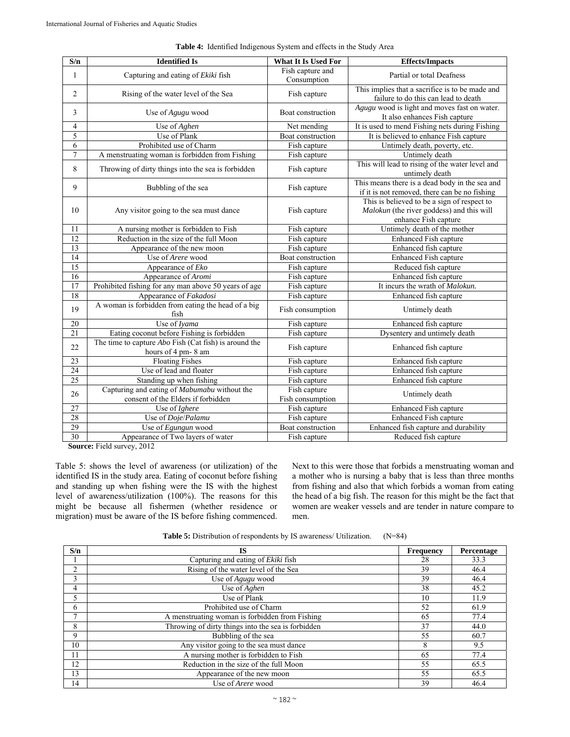| $\overline{\mathbf{S}/\mathbf{n}}$ | <b>Identified Is</b>                                                               | What It Is Used For              | <b>Effects/Impacts</b>                                                                                           |
|------------------------------------|------------------------------------------------------------------------------------|----------------------------------|------------------------------------------------------------------------------------------------------------------|
| 1                                  | Capturing and eating of Ekiki fish                                                 | Fish capture and<br>Consumption  | Partial or total Deafness                                                                                        |
| $\overline{2}$                     | Rising of the water level of the Sea                                               | Fish capture                     | This implies that a sacrifice is to be made and<br>failure to do this can lead to death                          |
| 3                                  | Use of Agugu wood                                                                  | Boat construction                | Agugu wood is light and moves fast on water.<br>It also enhances Fish capture                                    |
| 4                                  | Use of Aghen                                                                       | Net mending                      | It is used to mend Fishing nets during Fishing                                                                   |
| 5                                  | Use of Plank                                                                       | Boat construction                | It is believed to enhance Fish capture                                                                           |
| 6                                  | Prohibited use of Charm                                                            | Fish capture                     | Untimely death, poverty, etc.                                                                                    |
| $\overline{7}$                     | A menstruating woman is forbidden from Fishing                                     | Fish capture                     | Untimely death                                                                                                   |
| 8                                  | Throwing of dirty things into the sea is forbidden                                 | Fish capture                     | This will lead to rising of the water level and<br>untimely death                                                |
| 9                                  | Bubbling of the sea                                                                | Fish capture                     | This means there is a dead body in the sea and<br>if it is not removed, there can be no fishing                  |
| 10                                 | Any visitor going to the sea must dance                                            | Fish capture                     | This is believed to be a sign of respect to<br>Malokun (the river goddess) and this will<br>enhance Fish capture |
| 11                                 | A nursing mother is forbidden to Fish                                              | Fish capture                     | Untimely death of the mother                                                                                     |
| 12                                 | Reduction in the size of the full Moon                                             | Fish capture                     | <b>Enhanced Fish capture</b>                                                                                     |
| 13                                 | Appearance of the new moon                                                         | Fish capture                     | Enhanced fish capture                                                                                            |
| 14                                 | Use of Arere wood                                                                  | Boat construction                | <b>Enhanced Fish capture</b>                                                                                     |
| $\overline{15}$                    | Appearance of Eko                                                                  | Fish capture                     | Reduced fish capture                                                                                             |
| $\overline{16}$                    | Appearance of Aromi                                                                | Fish capture                     | Enhanced fish capture                                                                                            |
| 17                                 | Prohibited fishing for any man above 50 years of age                               | Fish capture                     | It incurs the wrath of Malokun.                                                                                  |
| 18                                 | Appearance of Fakadosi                                                             | Fish capture                     | Enhanced fish capture                                                                                            |
| 19                                 | A woman is forbidden from eating the head of a big<br>fish                         | Fish consumption                 | Untimely death                                                                                                   |
| 20                                 | Use of Iyama                                                                       | Fish capture                     | Enhanced fish capture                                                                                            |
| 21                                 | Eating coconut before Fishing is forbidden                                         | Fish capture                     | Dysentery and untimely death                                                                                     |
| 22                                 | The time to capture $Abo$ Fish (Cat fish) is around the<br>hours of 4 pm-8 am      | Fish capture                     | Enhanced fish capture                                                                                            |
| 23                                 | <b>Floating Fishes</b>                                                             | Fish capture                     | Enhanced fish capture                                                                                            |
| $\overline{24}$                    | Use of lead and floater                                                            | Fish capture                     | Enhanced fish capture                                                                                            |
| 25                                 | Standing up when fishing                                                           | Fish capture                     | Enhanced fish capture                                                                                            |
| 26                                 | Capturing and eating of Mabumabu without the<br>consent of the Elders if forbidden | Fish capture<br>Fish consumption | Untimely death                                                                                                   |
| 27                                 | Use of Ighere                                                                      | Fish capture                     | Enhanced Fish capture                                                                                            |
| 28                                 | Use of Doje/Palamu                                                                 | Fish capture                     | <b>Enhanced Fish capture</b>                                                                                     |
| 29                                 | Use of Egungun wood                                                                | Boat construction                | Enhanced fish capture and durability                                                                             |
| 30                                 | Appearance of Two layers of water<br>$E^*$ 1.1                                     | Fish capture                     | Reduced fish capture                                                                                             |

**Table 4:** Identified Indigenous System and effects in the Study Area

**Source:** Field survey, 2012

Table 5: shows the level of awareness (or utilization) of the identified IS in the study area. Eating of coconut before fishing and standing up when fishing were the IS with the highest level of awareness/utilization (100%). The reasons for this might be because all fishermen (whether residence or migration) must be aware of the IS before fishing commenced.

Next to this were those that forbids a menstruating woman and a mother who is nursing a baby that is less than three months from fishing and also that which forbids a woman from eating the head of a big fish. The reason for this might be the fact that women are weaker vessels and are tender in nature compare to men.

Table 5: Distribution of respondents by IS awareness/ Utilization. (N=84)

| S/n          | IS                                                 | Frequency | Percentage |
|--------------|----------------------------------------------------|-----------|------------|
|              | Capturing and eating of Ekiki fish                 | 28        | 33.3       |
| <sup>1</sup> | Rising of the water level of the Sea               | 39        | 46.4       |
| 3            | Use of Agugu wood                                  | 39        | 46.4       |
| 4            | Use of Aghen                                       | 38        | 45.2       |
| 5            | Use of Plank                                       | 10        | 11.9       |
| 6            | Prohibited use of Charm                            | 52        | 61.9       |
| –            | A menstruating woman is forbidden from Fishing     | 65        | 77.4       |
| 8            | Throwing of dirty things into the sea is forbidden | 37        | 44.0       |
| 9            | Bubbling of the sea                                | 55        | 60.7       |
| 10           | Any visitor going to the sea must dance            | 8         | 9.5        |
| 11           | A nursing mother is forbidden to Fish              | 65        | 77.4       |
| 12           | Reduction in the size of the full Moon             | 55        | 65.5       |
| 13           | Appearance of the new moon                         | 55        | 65.5       |
| 14           | Use of <i>Arere</i> wood                           | 39        | 46.4       |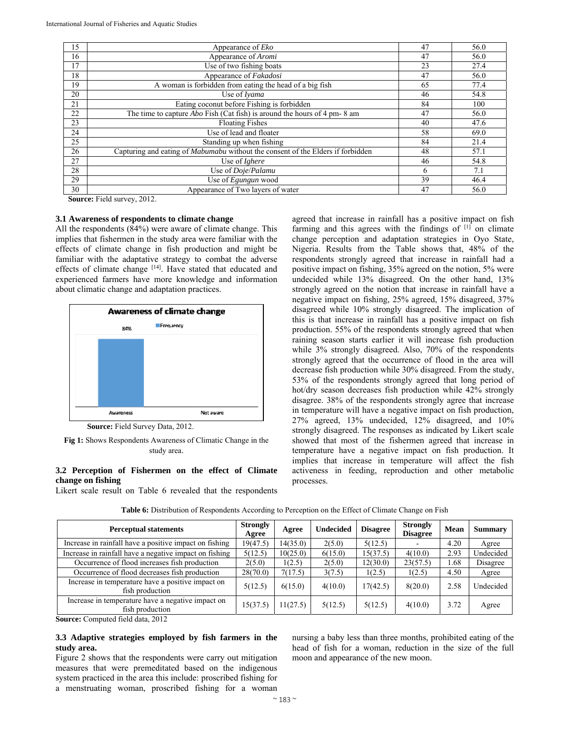| 15 | Appearance of <i>Eko</i>                                                        | 47 | 56.0 |
|----|---------------------------------------------------------------------------------|----|------|
| 16 | Appearance of Aromi                                                             | 47 | 56.0 |
| 17 | Use of two fishing boats                                                        | 23 | 27.4 |
| 18 | Appearance of Fakadosi                                                          | 47 | 56.0 |
| 19 | A woman is forbidden from eating the head of a big fish                         | 65 | 77.4 |
| 20 | Use of Ivama                                                                    | 46 | 54.8 |
| 21 | Eating coconut before Fishing is forbidden                                      | 84 | 100  |
| 22 | The time to capture <i>Abo</i> Fish (Cat fish) is around the hours of 4 pm-8 am | 47 | 56.0 |
| 23 | <b>Floating Fishes</b>                                                          | 40 | 47.6 |
| 24 | Use of lead and floater                                                         | 58 | 69.0 |
| 25 | Standing up when fishing                                                        | 84 | 21.4 |
| 26 | Capturing and eating of Mabumabu without the consent of the Elders if forbidden | 48 | 57.1 |
| 27 | Use of Ighere                                                                   | 46 | 54.8 |
| 28 | Use of Doje/Palamu                                                              | 6  | 7.1  |
| 29 | Use of <i>Egungun</i> wood                                                      | 39 | 46.4 |
| 30 | Appearance of Two layers of water                                               | 47 | 56.0 |

**Source:** Field survey, 2012.

### **3.1 Awareness of respondents to climate change**

All the respondents (84%) were aware of climate change. This implies that fishermen in the study area were familiar with the effects of climate change in fish production and might be familiar with the adaptative strategy to combat the adverse effects of climate change [14]. Have stated that educated and experienced farmers have more knowledge and information about climatic change and adaptation practices.



 **Source:** Field Survey Data, 2012.

## **3.2 Perception of Fishermen on the effect of Climate change on fishing**

Likert scale result on Table 6 revealed that the respondents

agreed that increase in rainfall has a positive impact on fish farming and this agrees with the findings of [1] on climate change perception and adaptation strategies in Oyo State, Nigeria. Results from the Table shows that, 48% of the respondents strongly agreed that increase in rainfall had a positive impact on fishing, 35% agreed on the notion, 5% were undecided while 13% disagreed. On the other hand, 13% strongly agreed on the notion that increase in rainfall have a negative impact on fishing, 25% agreed, 15% disagreed, 37% disagreed while 10% strongly disagreed. The implication of this is that increase in rainfall has a positive impact on fish production. 55% of the respondents strongly agreed that when raining season starts earlier it will increase fish production while 3% strongly disagreed. Also, 70% of the respondents strongly agreed that the occurrence of flood in the area will decrease fish production while 30% disagreed. From the study, 53% of the respondents strongly agreed that long period of hot/dry season decreases fish production while 42% strongly disagree. 38% of the respondents strongly agree that increase in temperature will have a negative impact on fish production, 27% agreed, 13% undecided, 12% disagreed, and 10% strongly disagreed. The responses as indicated by Likert scale showed that most of the fishermen agreed that increase in temperature have a negative impact on fish production. It implies that increase in temperature will affect the fish activeness in feeding, reproduction and other metabolic processes.

| <b>Perceptual statements</b>                                         | <b>Strongly</b><br>Agree | Agree    | <b>Undecided</b> | <b>Disagree</b> | <b>Strongly</b><br><b>Disagree</b> | Mean | <b>Summary</b> |
|----------------------------------------------------------------------|--------------------------|----------|------------------|-----------------|------------------------------------|------|----------------|
| Increase in rainfall have a positive impact on fishing               | 19(47.5)                 | 14(35.0) | 2(5.0)           | 5(12.5)         |                                    | 4.20 | Agree          |
| Increase in rainfall have a negative impact on fishing               | 5(12.5)                  | 10(25.0) | 6(15.0)          | 15(37.5)        | 4(10.0)                            | 2.93 | Undecided      |
| Occurrence of flood increases fish production                        | 2(5.0)                   | 1(2.5)   | 2(5.0)           | 12(30.0)        | 23(57.5)                           | 1.68 | Disagree       |
| Occurrence of flood decreases fish production                        | 28(70.0)                 | 7(17.5)  | 3(7.5)           | 1(2.5)          | 1(2.5)                             | 4.50 | Agree          |
| Increase in temperature have a positive impact on<br>fish production | 5(12.5)                  | 6(15.0)  | 4(10.0)          | 17(42.5)        | 8(20.0)                            | 2.58 | Undecided      |
| Increase in temperature have a negative impact on<br>fish production | 15(37.5)                 | 11(27.5) | 5(12.5)          | 5(12.5)         | 4(10.0)                            | 3.72 | Agree          |

**Table 6:** Distribution of Respondents According to Perception on the Effect of Climate Change on Fish

**Source:** Computed field data, 2012

# **3.3 Adaptive strategies employed by fish farmers in the study area.**

Figure 2 shows that the respondents were carry out mitigation measures that were premeditated based on the indigenous system practiced in the area this include: proscribed fishing for a menstruating woman, proscribed fishing for a woman

nursing a baby less than three months, prohibited eating of the head of fish for a woman, reduction in the size of the full moon and appearance of the new moon.

**Fig 1:** Shows Respondents Awareness of Climatic Change in the study area.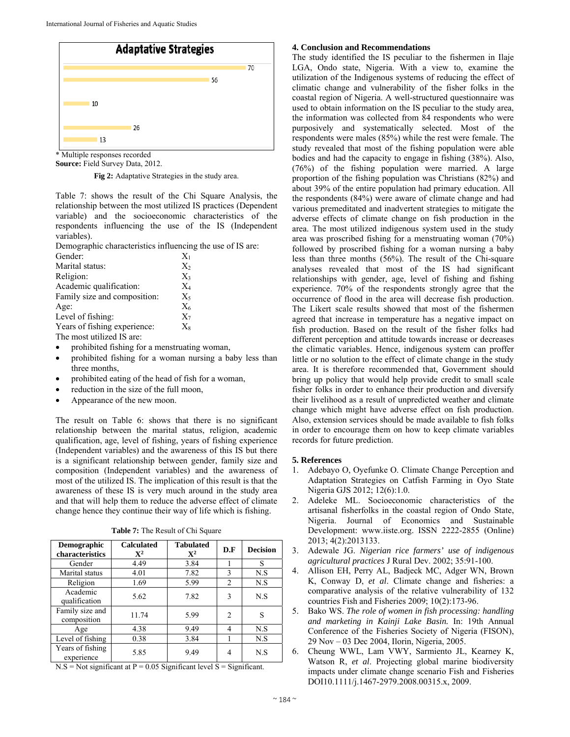

\* Multiple responses recorded

**Source:** Field Survey Data, 2012.

**Fig 2:** Adaptative Strategies in the study area.

Table 7: shows the result of the Chi Square Analysis, the relationship between the most utilized IS practices (Dependent variable) and the socioeconomic characteristics of the respondents influencing the use of the IS (Independent variables).

Demographic characteristics influencing the use of IS are:

| Gender:                      | $X_1$ |
|------------------------------|-------|
| Marital status:              | $X_2$ |
| Religion:                    | $X_3$ |
| Academic qualification:      | $X_4$ |
| Family size and composition: | $X_5$ |
| Age:                         | $X_6$ |
| Level of fishing:            | $X_7$ |
| Years of fishing experience: | $X_8$ |
| The most utilized IS are:    |       |

- prohibited fishing for a menstruating woman,
- prohibited fishing for a woman nursing a baby less than three months,
- prohibited eating of the head of fish for a woman,
- reduction in the size of the full moon,
- Appearance of the new moon.

The result on Table 6: shows that there is no significant relationship between the marital status, religion, academic qualification, age, level of fishing, years of fishing experience (Independent variables) and the awareness of this IS but there is a significant relationship between gender, family size and composition (Independent variables) and the awareness of most of the utilized IS. The implication of this result is that the awareness of these IS is very much around in the study area and that will help them to reduce the adverse effect of climate change hence they continue their way of life which is fishing.

| Table 7: The Result of Chi Square |  |  |  |  |
|-----------------------------------|--|--|--|--|
|-----------------------------------|--|--|--|--|

| Demographic<br>characteristics | <b>Calculated</b><br>$\mathbf{X}^2$ | <b>Tabulated</b><br>$\mathbf{X}^2$ | D.F            | <b>Decision</b> |
|--------------------------------|-------------------------------------|------------------------------------|----------------|-----------------|
| Gender                         | 4.49                                | 3.84                               |                | S               |
| Marital status                 | 4.01                                | 7.82                               | 3              | N.S             |
| Religion                       | 1.69                                | 5.99                               | 2              | N.S             |
| Academic<br>qualification      | 5.62                                | 7.82                               | 3              | N.S             |
| Family size and<br>composition | 11.74                               | 5.99                               | $\mathfrak{D}$ | S               |
| Age                            | 4.38                                | 9.49                               | 4              | N.S             |
| Level of fishing               | 0.38                                | 3.84                               |                | N.S             |
| Years of fishing<br>experience | 5.85                                | 9.49                               |                | N.S             |

 $N.S = Not significant at P = 0.05 Significant level S = Significant.$ 

#### **4. Conclusion and Recommendations**

The study identified the IS peculiar to the fishermen in Ilaje LGA, Ondo state, Nigeria. With a view to, examine the utilization of the Indigenous systems of reducing the effect of climatic change and vulnerability of the fisher folks in the coastal region of Nigeria. A well-structured questionnaire was used to obtain information on the IS peculiar to the study area, the information was collected from 84 respondents who were purposively and systematically selected. Most of the respondents were males (85%) while the rest were female. The study revealed that most of the fishing population were able bodies and had the capacity to engage in fishing (38%). Also, (76%) of the fishing population were married. A large proportion of the fishing population was Christians (82%) and about 39% of the entire population had primary education. All the respondents (84%) were aware of climate change and had various premeditated and inadvertent strategies to mitigate the adverse effects of climate change on fish production in the area. The most utilized indigenous system used in the study area was proscribed fishing for a menstruating woman (70%) followed by proscribed fishing for a woman nursing a baby less than three months (56%). The result of the Chi-square analyses revealed that most of the IS had significant relationships with gender, age, level of fishing and fishing experience. 70% of the respondents strongly agree that the occurrence of flood in the area will decrease fish production. The Likert scale results showed that most of the fishermen agreed that increase in temperature has a negative impact on fish production. Based on the result of the fisher folks had different perception and attitude towards increase or decreases the climatic variables. Hence, indigenous system can proffer little or no solution to the effect of climate change in the study area. It is therefore recommended that, Government should bring up policy that would help provide credit to small scale fisher folks in order to enhance their production and diversify their livelihood as a result of unpredicted weather and climate change which might have adverse effect on fish production. Also, extension services should be made available to fish folks in order to encourage them on how to keep climate variables records for future prediction.

#### **5. References**

- 1. Adebayo O, Oyefunke O. Climate Change Perception and Adaptation Strategies on Catfish Farming in Oyo State Nigeria GJS 2012; 12(6):1.0.
- 2. Adeleke ML. Socioeconomic characteristics of the artisanal fisherfolks in the coastal region of Ondo State, Nigeria. Journal of Economics and Sustainable Development: www.iiste.org. ISSN 2222-2855 (Online) 2013; 4(2):2013133.
- 3. Adewale JG. *Nigerian rice farmers' use of indigenous agricultural practices* J Rural Dev. 2002; 35:91-100.
- 4. Allison EH, Perry AL, Badjeck MC, Adger WN, Brown K, Conway D, *et al*. Climate change and fisheries: a comparative analysis of the relative vulnerability of 132 countries Fish and Fisheries 2009; 10(2):173-96.
- 5. Bako WS. *The role of women in fish processing: handling and marketing in Kainji Lake Basin.* In: 19th Annual Conference of the Fisheries Society of Nigeria (FISON), 29 Nov – 03 Dec 2004, Ilorin, Nigeria, 2005.
- 6. Cheung WWL, Lam VWY, Sarmiento JL, Kearney K, Watson R, *et al*. Projecting global marine biodiversity impacts under climate change scenario Fish and Fisheries DOI10.1111/j.1467-2979.2008.00315.x, 2009.